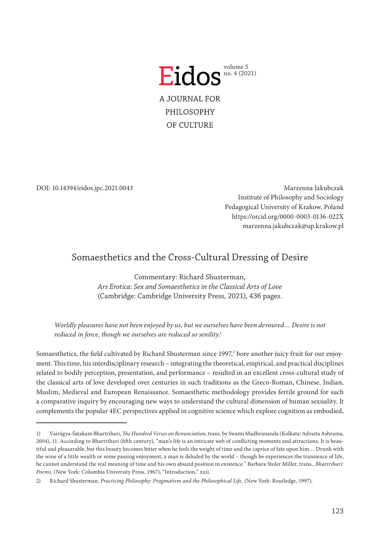

DOI: 10.14394/eidos.jpc.2021.0043

Marzenna Jakubczak Institute of Philosophy and Sociology Pedagogical University of Krakow, Poland <https://orcid.org/0000-0003-0136-022X> marzenna.jakubczak@up.krakow.pl

# Somaesthetics and the Cross-Cultural Dressing of Desire

Commentary: Richard Shusterman, *Ars Erotica: Sex and Somaesthetics in the Classical Arts of Love* (Cambridge: Cambridge University Press, 2021), 436 pages.

*Worldly pleasures have not been enjoyed by us, but we ourselves have been devoured… Desire is not reduced in force, though we ourselves are reduced so senility*.

Somaesthetics, the field cultivated by Richard Shusterman since 1997,<sup>2</sup> bore another juicy fruit for our enjoyment. This time, his interdisciplinary research – integrating the theoretical, empirical, and practical disciplines related to bodily perception, presentation, and performance – resulted in an excellent cross-cultural study of the classical arts of love developed over centuries in such traditions as the Greco-Roman, Chinese, Indian, Muslim, Medieval and European Renaissance. Somaesthetic methodology provides fertile ground for such a comparative inquiry by encouraging new ways to understand the cultural dimension of human sexuality. It complements the popular 4EC perspectives applied in cognitive science which explore cognition as embodied,

<sup>1)</sup> Vairāgya-Śatakam Bhartrihari, *The Hundred Verses on Renunciation*, trans. by Swami Madhvananda (Kolkata: Advaita Ashrama, 2004), 11. According to Bhartrihari (fifth century), "man's life is an intricate web of conflicting moments and attractions. It is beautiful and pleasurable, but this beauty becomes bitter when he feels the weight of time and the caprice of fate upon him… Drunk with the wine of a little wealth or some passing enjoyment, a man is deluded by the world – though he experiences the transience of life, he cannot understand the real meaning of time and his own absurd position in existence." Barbara Stoler Miller, trans., *Bhartrihari: Poems*, (New York: Columbia University Press, 1967), "Introduction," xxii.

<sup>2)</sup> Richard Shusterman, *Practicing Philosophy: Pragmatism and the Philosophical Life*, (New York: Routledge, 1997).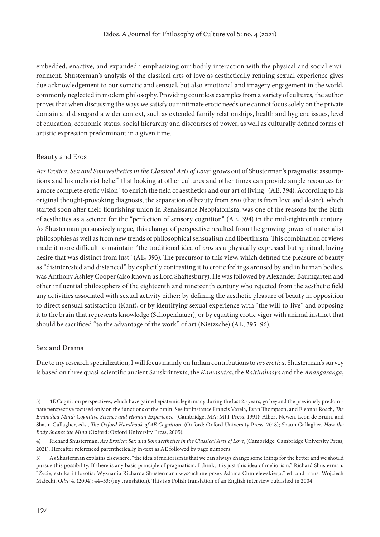embedded, enactive, and expanded:<sup>3</sup> emphasizing our bodily interaction with the physical and social environment. Shusterman's analysis of the classical arts of love as aesthetically refining sexual experience gives due acknowledgement to our somatic and sensual, but also emotional and imagery engagement in the world, commonly neglected in modern philosophy. Providing countless examples from a variety of cultures, the author proves that when discussing the ways we satisfy our intimate erotic needs one cannot focus solely on the private domain and disregard a wider context, such as extended family relationships, health and hygiene issues, level of education, economic status, social hierarchy and discourses of power, as well as culturally defined forms of artistic expression predominant in a given time.

## Beauty and Eros

*Ars Erotica: Sex and Somaesthetics in the Classical Arts of Love<sup>4</sup> grows out of Shusterman's pragmatist assump*tions and his meliorist belief<sup>5</sup> that looking at other cultures and other times can provide ample resources for a more complete erotic vision "to enrich the field of aesthetics and our art of living" (AE, 394). According to his original thought-provoking diagnosis, the separation of beauty from *eros* (that is from love and desire), which started soon after their flourishing union in Renaissance Neoplatonism, was one of the reasons for the birth of aesthetics as a science for the "perfection of sensory cognition" (AE, 394) in the mid-eighteenth century. As Shusterman persuasively argue, this change of perspective resulted from the growing power of materialist philosophies as well as from new trends of philosophical sensualism and libertinism. This combination of views made it more difficult to maintain "the traditional idea of *eros* as a physically expressed but spiritual, loving desire that was distinct from lust" (AE, 393). The precursor to this view, which defined the pleasure of beauty as "disinterested and distanced" by explicitly contrasting it to erotic feelings aroused by and in human bodies, was Anthony Ashley Cooper (also known as Lord Shaftesbury). He was followed by Alexander Baumgarten and other influential philosophers of the eighteenth and nineteenth century who rejected from the aesthetic field any activities associated with sexual activity either: by defining the aesthetic pleasure of beauty in opposition to direct sensual satisfaction (Kant), or by identifying sexual experience with "the will-to-live" and opposing it to the brain that represents knowledge (Schopenhauer), or by equating erotic vigor with animal instinct that should be sacrificed "to the advantage of the work" of art (Nietzsche) (AE, 395–96).

## Sex and Drama

Due to my research specialization, I will focus mainly on Indian contributions to *ars erotica*. Shusterman's survey is based on three quasi-scientific ancient Sanskrit texts; the *Kamasutra*, the *Raitirahasya* and the *Anangaranga*,

<sup>3)</sup> 4E Cognition perspectives, which have gained epistemic legitimacy during the last 25 years, go beyond the previously predominate perspective focused only on the functions of the brain. See for instance Francis Varela, Evan Thompson, and Eleonor Rosch, *The Embodied Mind: Cognitive Science and Human Experience*, (Cambridge, MA: MIT Press, 1991); Albert Newen, Leon de Bruin, and Shaun Gallagher, eds., *The Oxford Handbook of 4E Cognition*, (Oxford: Oxford University Press, 2018); Shaun Gallagher, *How the Body Shapes the Mind* (Oxford: Oxford University Press, 2005).

<sup>4)</sup> Richard Shusterman, *Ars Erotica: Sex and Somaesthetics in the Classical Arts of Love*, (Cambridge: Cambridge University Press, 2021). Hereafter referenced parenthetically in-text as AE followed by page numbers.

<sup>5)</sup> As Shusterman explains elsewhere, "the idea of meliorism is that we can always change some things for the better and we should pursue this possibility. If there is any basic principle of pragmatism, I think, it is just this idea of meliorism." Richard Shusterman, "Życie, sztuka i filozofia: Wyznania Richarda Shustermana wysłuchane przez Adama Chmielewskiego," ed. and trans. Wojciech Małecki, *Odra* 4, (2004): 44–53; (my translation). This is a Polish translation of an English interview published in 2004.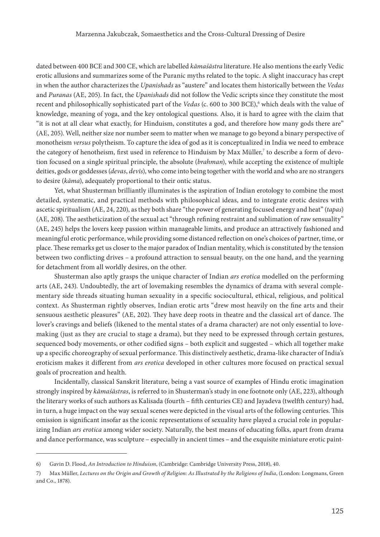dated between 400 BCE and 300 CE, which are labelled *kāmaśāstra* literature. He also mentions the early Vedic erotic allusions and summarizes some of the Puranic myths related to the topic. A slight inaccuracy has crept in when the author characterizes the *Upanishads* as "austere" and locates them historically between the *Vedas* and *Puranas* (AE, 205). In fact, the *Upanishads* did not follow the Vedic scripts since they constitute the most recent and philosophically sophisticated part of the *Vedas* (c. 600 to 300 BCE),<sup>6</sup> which deals with the value of knowledge, meaning of yoga, and the key ontological questions. Also, it is hard to agree with the claim that "it is not at all clear what exactly, for Hinduism, constitutes a god, and therefore how many gods there are" (AE, 205). Well, neither size nor number seem to matter when we manage to go beyond a binary perspective of monotheism *versus* polytheism. To capture the idea of god as it is conceptualized in India we need to embrace the category of henotheism, first used in reference to Hinduism by Max Müller,<sup>7</sup> to describe a form of devotion focused on a single spiritual principle, the absolute (*brahman*), while accepting the existence of multiple deities, gods or goddesses (*devas*, *devīs*), who come into being together with the world and who are no strangers to desire (*kāma*), adequately proportional to their ontic status.

Yet, what Shusterman brilliantly illuminates is the aspiration of Indian erotology to combine the most detailed, systematic, and practical methods with philosophical ideas, and to integrate erotic desires with ascetic spiritualism (AE, 24, 220), as they both share "the power of generating focused energy and heat" (*tapas*) (AE, 208). The aestheticization of the sexual act "through refining restraint and sublimation of raw sensuality" (AE, 245) helps the lovers keep passion within manageable limits, and produce an attractively fashioned and meaningful erotic performance, while providing some distanced reflection on one's choices of partner, time, or place. These remarks get us closer to the major paradox of Indian mentality, which is constituted by the tension between two conflicting drives – a profound attraction to sensual beauty, on the one hand, and the yearning for detachment from all worldly desires, on the other.

Shusterman also aptly grasps the unique character of Indian *ars erotica* modelled on the performing arts (AE, 243). Undoubtedly, the art of lovemaking resembles the dynamics of drama with several complementary side threads situating human sexuality in a specific sociocultural, ethical, religious, and political context. As Shusterman rightly observes, Indian erotic arts "drew most heavily on the fine arts and their sensuous aesthetic pleasures" (AE, 202). They have deep roots in theatre and the classical art of dance. The lover's cravings and beliefs (likened to the mental states of a drama character) are not only essential to lovemaking (just as they are crucial to stage a drama), but they need to be expressed through certain gestures, sequenced body movements, or other codified signs – both explicit and suggested – which all together make up a specific choreography of sexual performance. This distinctively aesthetic, drama-like character of India's eroticism makes it different from *ars erotica* developed in other cultures more focused on practical sexual goals of procreation and health.

Incidentally, classical Sanskrit literature, being a vast source of examples of Hindu erotic imagination strongly inspired by *kāmaśāstras*, is referred to in Shusterman's study in one footnote only (AE, 223), although the literary works of such authors as Kalisada (fourth – fifth centuries CE) and Jayadeva (twelfth century) had, in turn, a huge impact on the way sexual scenes were depicted in the visual arts of the following centuries. This omission is significant insofar as the iconic representations of sexuality have played a crucial role in popularizing Indian *ars erotica* among wider society. Naturally, the best means of educating folks, apart from drama and dance performance, was sculpture – especially in ancient times – and the exquisite miniature erotic paint-

<sup>6)</sup> Gavin D. Flood, *An Introduction to Hinduism*, (Cambridge: Cambridge University Press, 2018), 40.

<sup>7)</sup> Max Müller, *Lectures on the Origin and Growth of Religion: As Illustrated by the Religions of India*, (London: Longmans, Green and Co., 1878).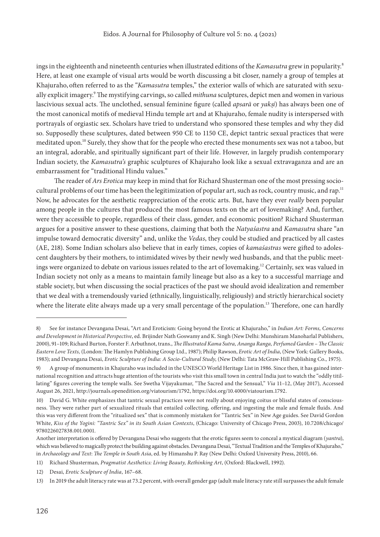ings in the eighteenth and nineteenth centuries when illustrated editions of the *Kamasutra* grew in popularity. Here, at least one example of visual arts would be worth discussing a bit closer, namely a group of temples at Khajuraho, often referred to as the "*Kamasutra* temples," the exterior walls of which are saturated with sexually explicit imagery. The mystifying carvings, so called *mithuna* sculptures, depict men and women in various lascivious sexual acts. The unclothed, sensual feminine figure (called *apsarā* or *yaksi*) has always been one of the most canonical motifs of medieval Hindu temple art and at Khajuraho, female nudity is interspersed with portrayals of orgiastic sex. Scholars have tried to understand who sponsored these temples and why they did so. Supposedly these sculptures, dated between 950 CE to 1150 CE, depict tantric sexual practices that were meditated upon.10 Surely, they show that for the people who erected these monuments sex was not a taboo, but an integral, adorable, and spiritually significant part of their life. However, in largely prudish contemporary Indian society, the *Kamasutra's* graphic sculptures of Khajuraho look like a sexual extravaganza and are an embarrassment for "traditional Hindu values."

The reader of *Ars Erotica* may keep in mind that for Richard Shusterman one of the most pressing sociocultural problems of our time has been the legitimization of popular art, such as rock, country music, and rap.<sup>11</sup> Now, he advocates for the aesthetic reappreciation of the erotic arts. But, have they ever *really* been popular among people in the cultures that produced the most famous texts on the art of lovemaking? And, further, were they accessible to people, regardless of their class, gender, and economic position? Richard Shusterman argues for a positive answer to these questions, claiming that both the *Natyaśastra* and *Kamasutra* share "an impulse toward democratic diversity" and, unlike the *Vedas*, they could be studied and practiced by all castes (AE, 218). Some Indian scholars also believe that in early times, copies of *kamaśastras* were gifted to adolescent daughters by their mothers, to intimidated wives by their newly wed husbands, and that the public meetings were organized to debate on various issues related to the art of lovemaking.<sup>12</sup> Certainly, sex was valued in Indian society not only as a means to maintain family lineage but also as a key to a successful marriage and stable society, but when discussing the social practices of the past we should avoid idealization and remember that we deal with a tremendously varied (ethnically, linguistically, religiously) and strictly hierarchical society where the literate elite always made up a very small percentage of the population.<sup>13</sup> Therefore, one can hardly

<sup>8)</sup> See for instance Devangana Desai, "Art and Eroticism: Going beyond the Erotic at Khajuraho," in *Indian Art: Forms, Concerns and Development in Historical Perspective*, ed. Brijinder Nath Goswamy and K. Singh (New Delhi: Munshiram Manoharlal Publishers, 2000), 91–109; Richard Burton, Forster F. Arbuthnot, trans., *The Illustrated Kama Sutra, Ananga Ranga, Perfumed Garden – The Classic Eastern Love Texts,* (London: The Hamlyn Publishing Group Ltd., 1987); Philip Rawson, *Erotic Art of India*, (New York: Gallery Books, 1983); and Devangana Desai, *Erotic Sculpture of India: A Socio-Cultural Study*, (New Delhi: Tata McGraw-Hill Publishing Co., 1975).

<sup>9)</sup> A group of monuments in Khajuraho was included in the UNESCO World Heritage List in 1986. Since then, it has gained international recognition and attracts huge attention of the tourists who visit this small town in central India just to watch the "oddly titillating" figures covering the temple walls. See Swetha Vijayakumar, "The Sacred and the Sensual," *Via* 11–12, (May 2017), Accessed August 26, 2021,<http://journals.openedition.org/viatourism/1792>, [https://doi.org/10.4000/viatourism.1792.](https://doi.org/10.4000/viatourism.1792)

<sup>10)</sup> David G. White emphasizes that tantric sexual practices were not really about enjoying coitus or blissful states of consciousness. They were rather part of sexualized rituals that entailed collecting, offering, and ingesting the male and female fluids. And this was very different from the "ritualized sex" that is commonly mistaken for "Tantric Sex" in New Age guides. See David Gordon White, *Kiss of the Yogini: "Tantric Sex" in its South Asian Contexts*, (Chicago: University of Chicago Press, 2003), [10.7208/chicago/](10.7208/chicago/9780226027838.001.0001) [9780226027838.001.0001](10.7208/chicago/9780226027838.001.0001).

Another interpretation is offered by Devangana Desai who suggests that the erotic figures seem to conceal a mystical diagram (*yantra*), which was believed to magically protect the building against obstacles. Devangana Desai, "Textual Tradition and the Temples of Khajuraho," in *Archaeology and Text*: *The Temple in South Asia*, ed. by Himanshu P. Ray (New Delhi: Oxford University Press, 2010), 66.

<sup>11)</sup> Richard Shusterman, *Pragmatist Aesthetics: Living Beauty, Rethinking Art*, (Oxford: Blackwell, 1992).

<sup>12)</sup> Desai, *Erotic Sculpture of India*, 167–68.

<sup>13)</sup> In 2019 the adult literacy rate was at 73.2 percent, with overall gender gap (adult male literacy rate still surpasses the adult female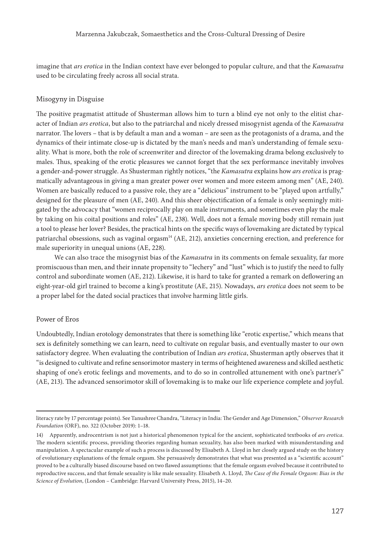imagine that *ars erotica* in the Indian context have ever belonged to popular culture, and that the *Kamasutra* used to be circulating freely across all social strata.

#### Misogyny in Disguise

The positive pragmatist attitude of Shusterman allows him to turn a blind eye not only to the elitist character of Indian *ars erotica*, but also to the patriarchal and nicely dressed misogynist agenda of the *Kamasutra* narrator. The lovers – that is by default a man and a woman – are seen as the protagonists of a drama, and the dynamics of their intimate close-up is dictated by the man's needs and man's understanding of female sexuality. What is more, both the role of screenwriter and director of the lovemaking drama belong exclusively to males. Thus, speaking of the erotic pleasures we cannot forget that the sex performance inevitably involves a gender-and-power struggle. As Shusterman rightly notices, "the *Kamasutra* explains how *ars erotica* is pragmatically advantageous in giving a man greater power over women and more esteem among men" (AE, 240). Women are basically reduced to a passive role, they are a "delicious" instrument to be "played upon artfully," designed for the pleasure of men (AE, 240). And this sheer objectification of a female is only seemingly mitigated by the advocacy that "women reciprocally play on male instruments, and sometimes even play the male by taking on his coital positions and roles" (AE, 238). Well, does not a female moving body still remain just a tool to please her lover? Besides, the practical hints on the specific ways of lovemaking are dictated by typical patriarchal obsessions, such as vaginal orgasm<sup>14</sup> (AE, 212), anxieties concerning erection, and preference for male superiority in unequal unions (AE, 228).

We can also trace the misogynist bias of the *Kamasutra* in its comments on female sexuality, far more promiscuous than men, and their innate propensity to "lechery" and "lust" which is to justify the need to fully control and subordinate women (AE, 212). Likewise, it is hard to take for granted a remark on deflowering an eight-year-old girl trained to become a king's prostitute (AE, 215). Nowadays, *ars erotica* does not seem to be a proper label for the dated social practices that involve harming little girls.

## Power of Eros

Undoubtedly, Indian erotology demonstrates that there is something like "erotic expertise," which means that sex is definitely something we can learn, need to cultivate on regular basis, and eventually master to our own satisfactory degree. When evaluating the contribution of Indian *ars erotica*, Shusterman aptly observes that it "is designed to cultivate and refine sensorimotor mastery in terms of heightened awareness and skilled aesthetic shaping of one's erotic feelings and movements, and to do so in controlled attunement with one's partner's" (AE, 213). The advanced sensorimotor skill of lovemaking is to make our life experience complete and joyful.

literacy rate by 17 percentage points). See Tanushree Chandra, "Literacy in India: The Gender and Age Dimension," *Observer Research Foundation* (ORF), no. 322 (October 2019): 1–18.

<sup>14)</sup> Apparently, androcentrism is not just a historical phenomenon typical for the ancient, sophisticated textbooks of *ars erotica*. The modern scientific process, providing theories regarding human sexuality, has also been marked with misunderstanding and manipulation. A spectacular example of such a process is discussed by Elisabeth A. Lloyd in her closely argued study on the history of evolutionary explanations of the female orgasm. She persuasively demonstrates that what was presented as a "scientific account" proved to be a culturally biased discourse based on two flawed assumptions: that the female orgasm evolved because it contributed to reproductive success, and that female sexuality is like male sexuality. Elisabeth A. Lloyd, *The Case of the Female Orgasm: Bias in the Science of Evolution*, (London – Cambridge: Harvard University Press, 2015), 14–20.